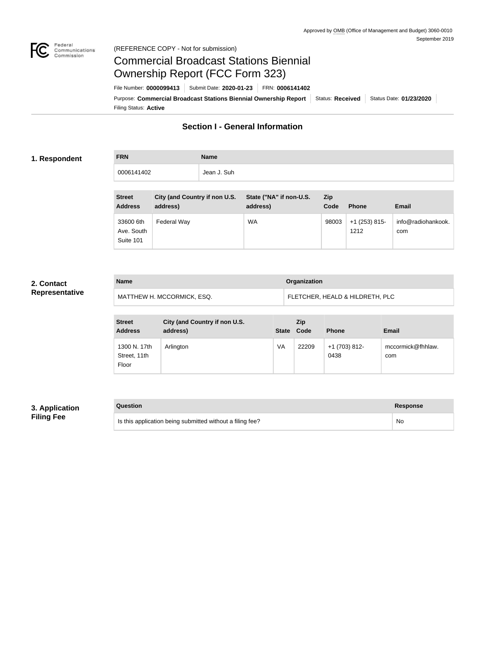

### Federal<br>Communications<br>Commission (REFERENCE COPY - Not for submission)

## Commercial Broadcast Stations Biennial Ownership Report (FCC Form 323)

Filing Status: **Active** Purpose: Commercial Broadcast Stations Biennial Ownership Report Status: Received Status Date: 01/23/2020 File Number: **0000099413** Submit Date: **2020-01-23** FRN: **0006141402**

## **Section I - General Information**

### **1. Respondent**

**FRN Name** 0006141402 **Jean J. Suh** 

| <b>Street</b><br><b>Address</b>      | City (and Country if non U.S.<br>address) | State ("NA" if non-U.S.<br>address) | Zip<br>Code | <b>Phone</b>            | <b>Email</b>              |
|--------------------------------------|-------------------------------------------|-------------------------------------|-------------|-------------------------|---------------------------|
| 33600 6th<br>Ave. South<br>Suite 101 | Federal Way                               | <b>WA</b>                           | 98003       | $+1$ (253) 815-<br>1212 | info@radiohankook.<br>com |

## **2. Contact Representative**

| <b>Name</b>                | Organization                    |
|----------------------------|---------------------------------|
| MATTHEW H. MCCORMICK, ESQ. | FLETCHER, HEALD & HILDRETH, PLC |

| <b>Street</b><br><b>Address</b>       | City (and Country if non U.S.<br>address) | State Code | <b>Zip</b> | <b>Phone</b>          | <b>Email</b>             |
|---------------------------------------|-------------------------------------------|------------|------------|-----------------------|--------------------------|
| 1300 N. 17th<br>Street, 11th<br>Floor | Arlington                                 | VA         | 22209      | +1 (703) 812-<br>0438 | mccormick@fhhlaw.<br>com |

## **3. Application Filing Fee**

# **Question Response** Is this application being submitted without a filing fee? No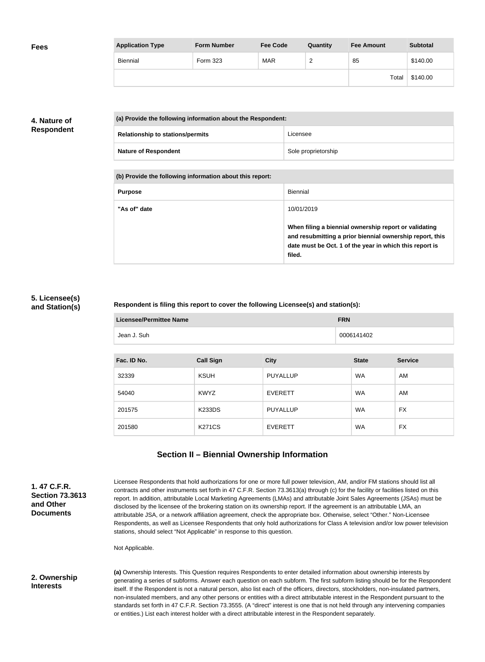| <b>Fees</b> | <b>Application Type</b> | <b>Form Number</b> | <b>Fee Code</b> | Quantity | <b>Fee Amount</b> | <b>Subtotal</b> |
|-------------|-------------------------|--------------------|-----------------|----------|-------------------|-----------------|
|             | Biennial                | Form 323           | <b>MAR</b>      | ∼        | 85                | \$140.00        |
|             |                         |                    |                 |          | Total             | \$140.00        |

## **4. Nature of Respondent**

| (a) Provide the following information about the Respondent: |                                         |                     |
|-------------------------------------------------------------|-----------------------------------------|---------------------|
|                                                             | <b>Relationship to stations/permits</b> | Licensee            |
|                                                             | <b>Nature of Respondent</b>             | Sole proprietorship |

**(b) Provide the following information about this report:**

| <b>Purpose</b> | Biennial                                                                                                                                                                               |
|----------------|----------------------------------------------------------------------------------------------------------------------------------------------------------------------------------------|
| "As of" date   | 10/01/2019                                                                                                                                                                             |
|                | When filing a biennial ownership report or validating<br>and resubmitting a prior biennial ownership report, this<br>date must be Oct. 1 of the year in which this report is<br>filed. |

## **5. Licensee(s) and Station(s)**

### **Respondent is filing this report to cover the following Licensee(s) and station(s):**

| Licensee/Permittee Name | <b>FRN</b> |
|-------------------------|------------|
| Jean J. Suh             | 0006141402 |

| Fac. ID No. | <b>Call Sign</b> | <b>City</b>     | <b>State</b> | <b>Service</b> |
|-------------|------------------|-----------------|--------------|----------------|
| 32339       | <b>KSUH</b>      | <b>PUYALLUP</b> | <b>WA</b>    | AM             |
| 54040       | <b>KWYZ</b>      | <b>EVERETT</b>  | <b>WA</b>    | AM             |
| 201575      | <b>K233DS</b>    | <b>PUYALLUP</b> | <b>WA</b>    | FX             |
| 201580      | <b>K271CS</b>    | <b>EVERETT</b>  | <b>WA</b>    | FX             |

## **Section II – Biennial Ownership Information**

**1. 47 C.F.R. Section 73.3613 and Other Documents**

Licensee Respondents that hold authorizations for one or more full power television, AM, and/or FM stations should list all contracts and other instruments set forth in 47 C.F.R. Section 73.3613(a) through (c) for the facility or facilities listed on this report. In addition, attributable Local Marketing Agreements (LMAs) and attributable Joint Sales Agreements (JSAs) must be disclosed by the licensee of the brokering station on its ownership report. If the agreement is an attributable LMA, an attributable JSA, or a network affiliation agreement, check the appropriate box. Otherwise, select "Other." Non-Licensee Respondents, as well as Licensee Respondents that only hold authorizations for Class A television and/or low power television stations, should select "Not Applicable" in response to this question.

Not Applicable.

### **2. Ownership Interests**

**(a)** Ownership Interests. This Question requires Respondents to enter detailed information about ownership interests by generating a series of subforms. Answer each question on each subform. The first subform listing should be for the Respondent itself. If the Respondent is not a natural person, also list each of the officers, directors, stockholders, non-insulated partners, non-insulated members, and any other persons or entities with a direct attributable interest in the Respondent pursuant to the standards set forth in 47 C.F.R. Section 73.3555. (A "direct" interest is one that is not held through any intervening companies or entities.) List each interest holder with a direct attributable interest in the Respondent separately.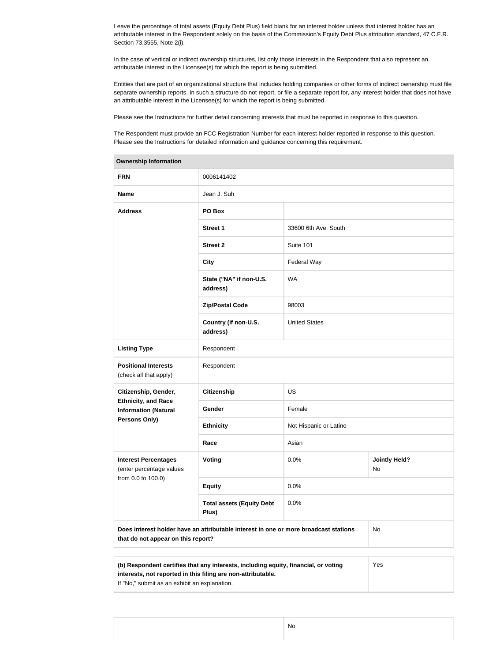Leave the percentage of total assets (Equity Debt Plus) field blank for an interest holder unless that interest holder has an attributable interest in the Respondent solely on the basis of the Commission's Equity Debt Plus attribution standard, 47 C.F.R. Section 73.3555, Note 2(i).

In the case of vertical or indirect ownership structures, list only those interests in the Respondent that also represent an attributable interest in the Licensee(s) for which the report is being submitted.

Entities that are part of an organizational structure that includes holding companies or other forms of indirect ownership must file separate ownership reports. In such a structure do not report, or file a separate report for, any interest holder that does not have an attributable interest in the Licensee(s) for which the report is being submitted.

Please see the Instructions for further detail concerning interests that must be reported in response to this question.

The Respondent must provide an FCC Registration Number for each interest holder reported in response to this question. Please see the Instructions for detailed information and guidance concerning this requirement.

| Ownership information                                                                                                                                      |                                                                                      |                        |                            |  |
|------------------------------------------------------------------------------------------------------------------------------------------------------------|--------------------------------------------------------------------------------------|------------------------|----------------------------|--|
| <b>FRN</b>                                                                                                                                                 | 0006141402                                                                           |                        |                            |  |
| <b>Name</b>                                                                                                                                                | Jean J. Suh                                                                          |                        |                            |  |
| <b>Address</b>                                                                                                                                             | PO Box                                                                               |                        |                            |  |
|                                                                                                                                                            | <b>Street 1</b>                                                                      | 33600 6th Ave. South   |                            |  |
|                                                                                                                                                            | <b>Street 2</b>                                                                      | Suite 101              |                            |  |
|                                                                                                                                                            | <b>City</b>                                                                          | Federal Way            |                            |  |
|                                                                                                                                                            | State ("NA" if non-U.S.<br>address)                                                  | <b>WA</b>              |                            |  |
|                                                                                                                                                            | <b>Zip/Postal Code</b>                                                               | 98003                  |                            |  |
|                                                                                                                                                            | Country (if non-U.S.<br>address)                                                     | <b>United States</b>   |                            |  |
| <b>Listing Type</b>                                                                                                                                        | Respondent                                                                           |                        |                            |  |
| <b>Positional Interests</b><br>(check all that apply)                                                                                                      | Respondent                                                                           |                        |                            |  |
| Citizenship, Gender,                                                                                                                                       | <b>Citizenship</b>                                                                   | <b>US</b>              |                            |  |
| <b>Ethnicity, and Race</b><br><b>Information (Natural</b>                                                                                                  | Gender                                                                               | Female                 |                            |  |
| Persons Only)                                                                                                                                              | <b>Ethnicity</b>                                                                     | Not Hispanic or Latino |                            |  |
|                                                                                                                                                            | Race                                                                                 | Asian                  |                            |  |
| <b>Interest Percentages</b><br>(enter percentage values                                                                                                    | Voting                                                                               | 0.0%                   | <b>Jointly Held?</b><br>No |  |
| from 0.0 to 100.0)                                                                                                                                         | <b>Equity</b>                                                                        | 0.0%                   |                            |  |
|                                                                                                                                                            | <b>Total assets (Equity Debt</b><br>Plus)                                            | 0.0%                   |                            |  |
| that do not appear on this report?                                                                                                                         | Does interest holder have an attributable interest in one or more broadcast stations |                        | No                         |  |
|                                                                                                                                                            |                                                                                      |                        |                            |  |
| (b) Respondent certifies that any interests, including equity, financial, or voting<br>Yes<br>interests, not reported in this filing are non-attributable. |                                                                                      |                        |                            |  |

**Ownership Information**

If "No," submit as an exhibit an explanation.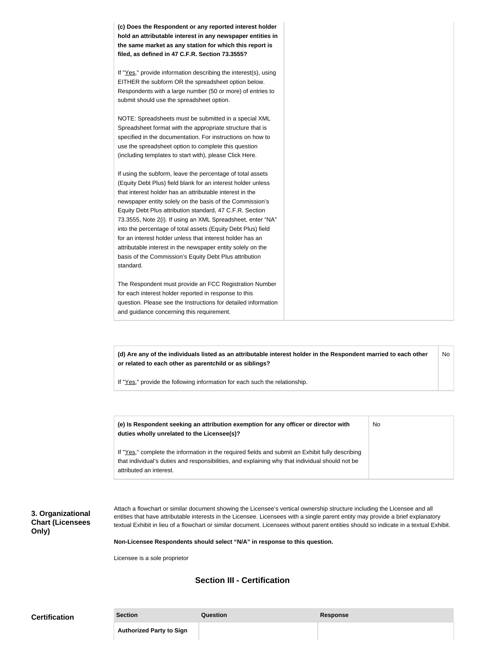**(c) Does the Respondent or any reported interest holder hold an attributable interest in any newspaper entities in the same market as any station for which this report is filed, as defined in 47 C.F.R. Section 73.3555?**

If "Yes," provide information describing the interest(s), using EITHER the subform OR the spreadsheet option below. Respondents with a large number (50 or more) of entries to submit should use the spreadsheet option.

NOTE: Spreadsheets must be submitted in a special XML Spreadsheet format with the appropriate structure that is specified in the documentation. For instructions on how to use the spreadsheet option to complete this question (including templates to start with), please Click Here.

If using the subform, leave the percentage of total assets (Equity Debt Plus) field blank for an interest holder unless that interest holder has an attributable interest in the newspaper entity solely on the basis of the Commission's Equity Debt Plus attribution standard, 47 C.F.R. Section 73.3555, Note 2(i). If using an XML Spreadsheet, enter "NA" into the percentage of total assets (Equity Debt Plus) field for an interest holder unless that interest holder has an attributable interest in the newspaper entity solely on the basis of the Commission's Equity Debt Plus attribution standard.

The Respondent must provide an FCC Registration Number for each interest holder reported in response to this question. Please see the Instructions for detailed information and guidance concerning this requirement.

**(d) Are any of the individuals listed as an attributable interest holder in the Respondent married to each other or related to each other as parentchild or as siblings?** No

If "Yes," provide the following information for each such the relationship.

**(e) Is Respondent seeking an attribution exemption for any officer or director with duties wholly unrelated to the Licensee(s)?** No

If "Yes," complete the information in the required fields and submit an Exhibit fully describing that individual's duties and responsibilities, and explaining why that individual should not be attributed an interest.

**3. Organizational Chart (Licensees Only)**

Attach a flowchart or similar document showing the Licensee's vertical ownership structure including the Licensee and all entities that have attributable interests in the Licensee. Licensees with a single parent entity may provide a brief explanatory textual Exhibit in lieu of a flowchart or similar document. Licensees without parent entities should so indicate in a textual Exhibit.

**Non-Licensee Respondents should select "N/A" in response to this question.**

Licensee is a sole proprietor

#### **Section III - Certification**

| <b>Certification</b> | <b>Section</b>                  | Question | <b>Response</b> |
|----------------------|---------------------------------|----------|-----------------|
|                      | <b>Authorized Party to Sign</b> |          |                 |